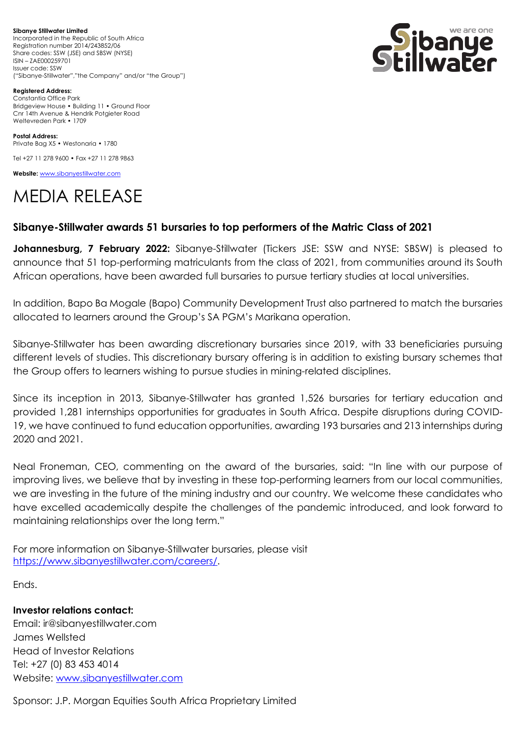**Sibanye Stillwater Limited**  Incorporated in the Republic of South Africa Registration number 2014/243852/06 Share codes: SSW (JSE) and SBSW (NYSE) ISIN – ZAE000259701 Issuer code: SSW ("Sibanye-Stillwater","the Company" and/or "the Group")



**Registered Address:** Constantia Office Park Bridgeview House • Building 11 • Ground Floor Cnr 14th Avenue & Hendrik Potgieter Road Weltevreden Park • 1709

**Postal Address:** Private Bag X5 • Westonaria • 1780

Tel +27 11 278 9600 • Fax +27 11 278 9863

**Website:** [www.sibanyestillwater.com](http://www.sibanyestillwater.com/)

## MEDIA RELEASE

## **Sibanye-Stillwater awards 51 bursaries to top performers of the Matric Class of 2021**

**Johannesburg, 7 February 2022:** Sibanye-Stillwater (Tickers JSE: SSW and NYSE: SBSW) is pleased to announce that 51 top-performing matriculants from the class of 2021, from communities around its South African operations, have been awarded full bursaries to pursue tertiary studies at local universities.

In addition, Bapo Ba Mogale (Bapo) Community Development Trust also partnered to match the bursaries allocated to learners around the Group's SA PGM's Marikana operation.

Sibanye-Stillwater has been awarding discretionary bursaries since 2019, with 33 beneficiaries pursuing different levels of studies. This discretionary bursary offering is in addition to existing bursary schemes that the Group offers to learners wishing to pursue studies in mining-related disciplines.

Since its inception in 2013, Sibanye-Stillwater has granted 1,526 bursaries for tertiary education and provided 1,281 internships opportunities for graduates in South Africa. Despite disruptions during COVID-19, we have continued to fund education opportunities, awarding 193 bursaries and 213 internships during 2020 and 2021.

Neal Froneman, CEO, commenting on the award of the bursaries, said: "In line with our purpose of improving lives, we believe that by investing in these top-performing learners from our local communities, we are investing in the future of the mining industry and our country. We welcome these candidates who have excelled academically despite the challenges of the pandemic introduced, and look forward to maintaining relationships over the long term."

For more information on Sibanye-Stillwater bursaries, please visit [https://www.sibanyestillwater.com/careers/.](https://www.sibanyestillwater.com/careers/)

Ends.

**Investor relations contact:**

Email: ir@sibanyestillwater.com James Wellsted Head of Investor Relations Tel: +27 (0) 83 453 4014 Website: [www.sibanyestillwater.com](http://www.sibanyestillwater.com/)

Sponsor: J.P. Morgan Equities South Africa Proprietary Limited